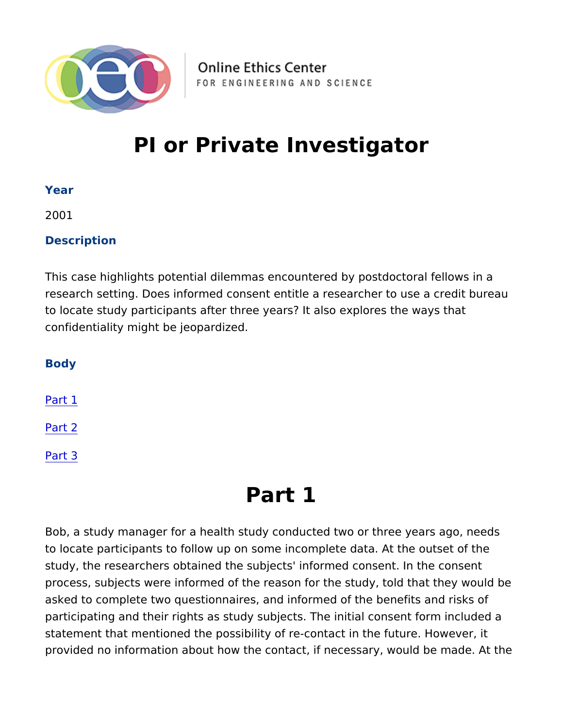# PI or Private Investigator

Year

2001

Description

This case highlights potential dilemmas encountered by postdocto research setting. Does informed consent entitle a researcher to u to locate study participants after three years? It also explores th confidentiality might be jeopardized.

Body

Part 1

[Part](#page-1-0) 2

[Part](#page-2-0) 3

# Part 1

Bob, a study manager for a health study conducted two or three y to locate participants to follow up on some incomplete data. At th study, the researchers obtained the subjects' informed consent. I process, subjects were informed of the reason for the study, told asked to complete two questionnaires, and informed of the benefi participating and their rights as study subjects. The initial conse statement that mentioned the possibility of re-contact in the futur provided no information about how the contact, if necessary, wou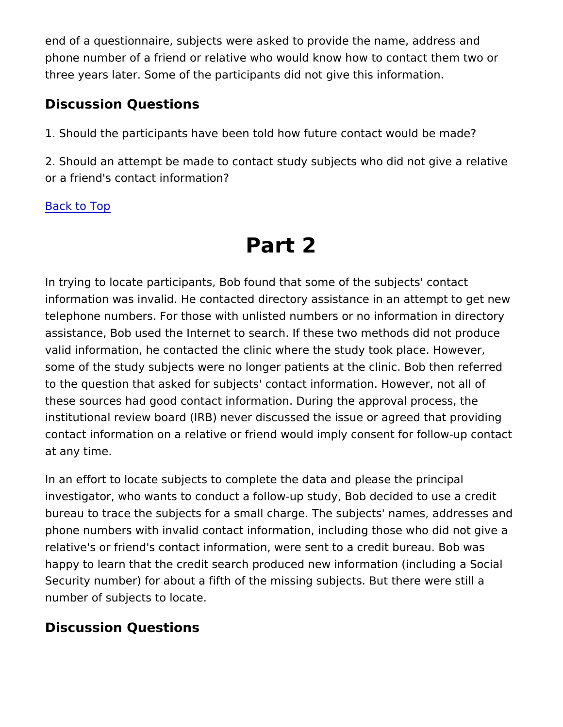<span id="page-1-0"></span>end of a questionnaire, subjects were asked to provide the name, phone number of a friend or relative who would know how to conta three years later. Some of the participants did not give this infor

Discussion Questions

1. Should the participants have been told how future contact woul

2. Should an attempt be made to contact study subjects who did n or a friend's contact information?

Back to Top

# Part 2

In trying to locate participants, Bob found that some of the subje information was invalid. He contacted directory assistance in an a telephone numbers. For those with unlisted numbers or no information assistance, Bob used the Internet to search. If these two methods valid information, he contacted the clinic where the study took pl some of the study subjects were no longer patients at the clinic. to the question that asked for subjects' contact information. Howe these sources had good contact information. During the approval institutional review board (IRB) never discussed the issue or agreed that  $\frac{1}{2}$ contact information on a relative or friend would imply consent fo at any time.

In an effort to locate subjects to complete the data and please th investigator, who wants to conduct a follow-up study, Bob decided bureau to trace the subjects for a small charge. The subjects' name phone numbers with invalid contact information, including those w relative's or friend's contact information, were sent to a credit bu happy to learn that the credit search produced new information (in Security number) for about a fifth of the missing subjects. But the number of subjects to locate.

Discussion Questions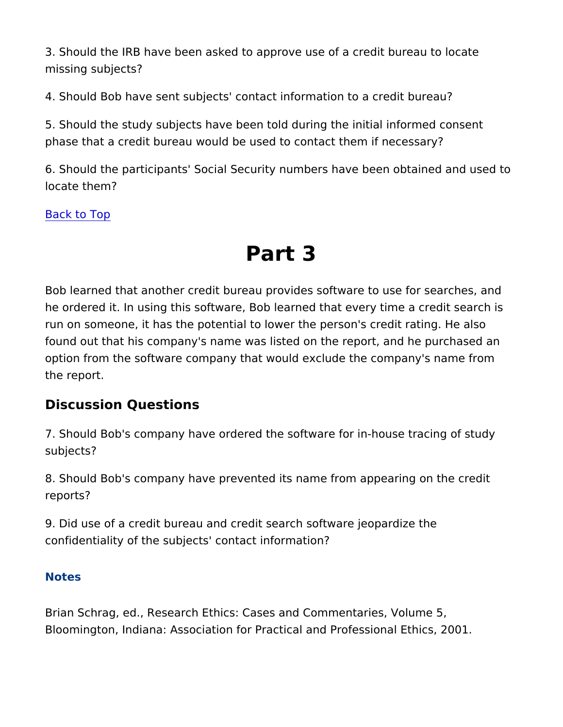<span id="page-2-0"></span>3. Should the IRB have been asked to approve use of a credit bur missing subjects?

4. Should Bob have sent subjects' contact information to a credit

5. Should the study subjects have been told during the initial informed consents and consent consent phase that a credit bureau would be used to contact them if neces

6. Should the participants' Social Security numbers have been ob locate them?

Back to Top

# Part 3

Bob learned that another credit bureau provides software to use f he ordered it. In using this software, Bob learned that every time run on someone, it has the potential to lower the person's credit found out that his company's name was listed on the report, and h option from the software company that would exclude the company the report.

Discussion Questions

7. Should Bob's company have ordered the software for in-house subjects?

8. Should Bob's company have prevented its name from appearing reports?

9. Did use of a credit bureau and credit search software jeopardized confidentiality of the subjects' contact information?

Notes

Brian Schrag, ed., Research Ethics: Cases and Commentaries, Vo Bloomington, Indiana: Association for Practical and Professional